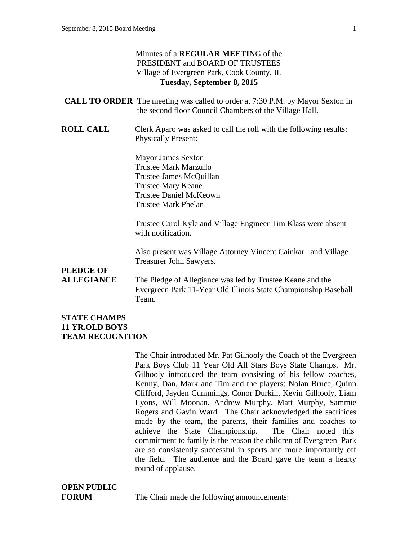### Minutes of a **REGULAR MEETIN**G of the PRESIDENT and BOARD OF TRUSTEES Village of Evergreen Park, Cook County, IL **Tuesday, September 8, 2015 CALL TO ORDER** The meeting was called to order at 7:30 P.M. by Mayor Sexton in the second floor Council Chambers of the Village Hall. **ROLL CALL** Clerk Aparo was asked to call the roll with the following results: Physically Present: Mayor James Sexton Trustee Mark Marzullo Trustee James McQuillan Trustee Mary Keane Trustee Daniel McKeown Trustee Mark Phelan Trustee Carol Kyle and Village Engineer Tim Klass were absent with notification. Also present was Village Attorney Vincent Cainkar and Village Treasurer John Sawyers. **PLEDGE OF ALLEGIANCE** The Pledge of Allegiance was led by Trustee Keane and the Evergreen Park 11-Year Old Illinois State Championship Baseball Team.

#### **STATE CHAMPS 11 YR.OLD BOYS TEAM RECOGNITION**

The Chair introduced Mr. Pat Gilhooly the Coach of the Evergreen Park Boys Club 11 Year Old All Stars Boys State Champs. Mr. Gilhooly introduced the team consisting of his fellow coaches, Kenny, Dan, Mark and Tim and the players: Nolan Bruce, Quinn Clifford, Jayden Cummings, Conor Durkin, Kevin Gilhooly, Liam Lyons, Will Moonan, Andrew Murphy, Matt Murphy, Sammie Rogers and Gavin Ward. The Chair acknowledged the sacrifices made by the team, the parents, their families and coaches to achieve the State Championship. The Chair noted this commitment to family is the reason the children of Evergreen Park are so consistently successful in sports and more importantly off the field. The audience and the Board gave the team a hearty round of applause.

# **OPEN PUBLIC**

**FORUM** The Chair made the following announcements: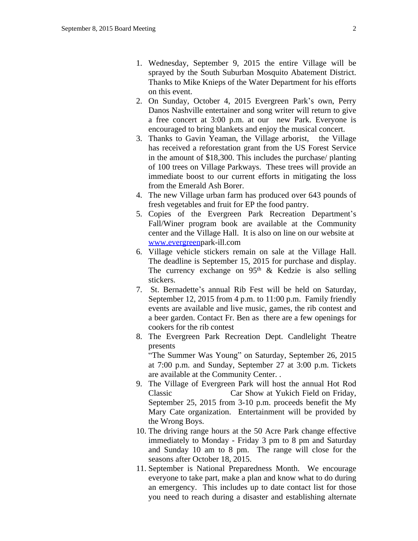- 1. Wednesday, September 9, 2015 the entire Village will be sprayed by the South Suburban Mosquito Abatement District. Thanks to Mike Knieps of the Water Department for his efforts on this event.
- 2. On Sunday, October 4, 2015 Evergreen Park's own, Perry Danos Nashville entertainer and song writer will return to give a free concert at 3:00 p.m. at our new Park. Everyone is encouraged to bring blankets and enjoy the musical concert.
- 3. Thanks to Gavin Yeaman, the Village arborist, the Village has received a reforestation grant from the US Forest Service in the amount of \$18,300. This includes the purchase/ planting of 100 trees on Village Parkways. These trees will provide an immediate boost to our current efforts in mitigating the loss from the Emerald Ash Borer.
- 4. The new Village urban farm has produced over 643 pounds of fresh vegetables and fruit for EP the food pantry.
- 5. Copies of the Evergreen Park Recreation Department's Fall/Winer program book are available at the Community center and the Village Hall. It is also on line on our website at [www.evergreenp](http://www.evergreen)ark-ill.com
- 6. Village vehicle stickers remain on sale at the Village Hall. The deadline is September 15, 2015 for purchase and display. The currency exchange on  $95<sup>th</sup>$  & Kedzie is also selling stickers.
- 7. St. Bernadette's annual Rib Fest will be held on Saturday, September 12, 2015 from 4 p.m. to 11:00 p.m. Family friendly events are available and live music, games, the rib contest and a beer garden. Contact Fr. Ben as there are a few openings for cookers for the rib contest
- 8. The Evergreen Park Recreation Dept. Candlelight Theatre presents

"The Summer Was Young" on Saturday, September 26, 2015 at 7:00 p.m. and Sunday, September 27 at 3:00 p.m. Tickets are available at the Community Center. .

- 9. The Village of Evergreen Park will host the annual Hot Rod Classic Car Show at Yukich Field on Friday, September 25, 2015 from 3-10 p.m. proceeds benefit the My Mary Cate organization. Entertainment will be provided by the Wrong Boys.
- 10. The driving range hours at the 50 Acre Park change effective immediately to Monday - Friday 3 pm to 8 pm and Saturday and Sunday 10 am to 8 pm. The range will close for the seasons after October 18, 2015.
- 11. September is National Preparedness Month. We encourage everyone to take part, make a plan and know what to do during an emergency. This includes up to date contact list for those you need to reach during a disaster and establishing alternate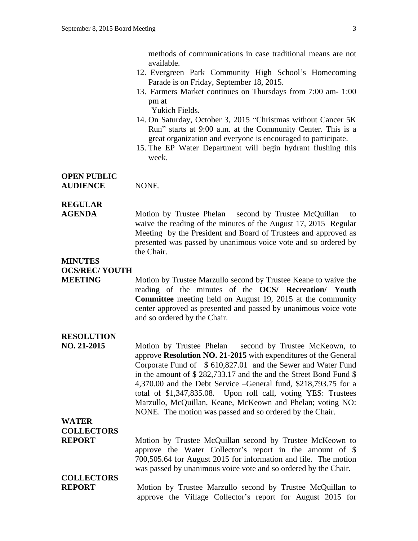methods of communications in case traditional means are not available.

- 12. Evergreen Park Community High School's Homecoming Parade is on Friday, September 18, 2015.
- 13. Farmers Market continues on Thursdays from 7:00 am- 1:00 pm at

Yukich Fields.

- 14. On Saturday, October 3, 2015 "Christmas without Cancer 5K Run" starts at 9:00 a.m. at the Community Center. This is a great organization and everyone is encouraged to participate.
- 15. The EP Water Department will begin hydrant flushing this week.

### **OPEN PUBLIC AUDIENCE** NONE.

## **REGULAR**

**AGENDA** Motion by Trustee Phelan second by Trustee McQuillan to waive the reading of the minutes of the August 17, 2015 Regular Meeting by the President and Board of Trustees and approved as presented was passed by unanimous voice vote and so ordered by the Chair.

#### **MINUTES OCS/REC/ YOUTH**

**MEETING** Motion by Trustee Marzullo second by Trustee Keane to waive the reading of the minutes of the **OCS/ Recreation/ Youth Committee** meeting held on August 19, 2015 at the community center approved as presented and passed by unanimous voice vote and so ordered by the Chair.

### **RESOLUTION**

**NO. 21-2015** Motion by Trustee Phelan second by Trustee McKeown, to approve **Resolution NO. 21-2015** with expenditures of the General Corporate Fund of \$ 610,827.01 and the Sewer and Water Fund in the amount of \$ 282,733.17 and the and the Street Bond Fund \$ 4,370.00 and the Debt Service –General fund, \$218,793.75 for a total of \$1,347,835.08. Upon roll call, voting YES: Trustees Marzullo, McQuillan, Keane, McKeown and Phelan; voting NO: NONE. The motion was passed and so ordered by the Chair.

### **WATER COLLECTORS**

**REPORT** Motion by Trustee McQuillan second by Trustee McKeown to approve the Water Collector's report in the amount of \$ 700,505.64 for August 2015 for information and file. The motion was passed by unanimous voice vote and so ordered by the Chair.

# **COLLECTORS**

**REPORT** Motion by Trustee Marzullo second by Trustee McQuillan to approve the Village Collector's report for August 2015 for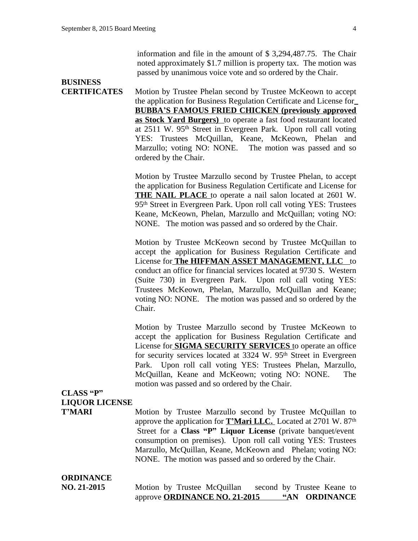information and file in the amount of \$ 3,294,487.75. The Chair noted approximately \$1.7 million is property tax. The motion was passed by unanimous voice vote and so ordered by the Chair.

# **BUSINESS**

**CERTIFICATES** Motion by Trustee Phelan second by Trustee McKeown to accept the application for Business Regulation Certificate and License for **BUBBA'S FAMOUS FRIED CHICKEN (previously approved as Stock Yard Burgers)** to operate a fast food restaurant located at 2511 W. 95<sup>th</sup> Street in Evergreen Park. Upon roll call voting YES: Trustees McQuillan, Keane, McKeown, Phelan and Marzullo; voting NO: NONE. The motion was passed and so ordered by the Chair.

> Motion by Trustee Marzullo second by Trustee Phelan, to accept the application for Business Regulation Certificate and License for **THE NAIL PLACE** to operate a nail salon located at 2601 W. 95th Street in Evergreen Park. Upon roll call voting YES: Trustees Keane, McKeown, Phelan, Marzullo and McQuillan; voting NO: NONE. The motion was passed and so ordered by the Chair.

> Motion by Trustee McKeown second by Trustee McQuillan to accept the application for Business Regulation Certificate and License for **The HIFFMAN ASSET MANAGEMENT, LLC** to conduct an office for financial services located at 9730 S. Western (Suite 730) in Evergreen Park. Upon roll call voting YES: Trustees McKeown, Phelan, Marzullo, McQuillan and Keane; voting NO: NONE. The motion was passed and so ordered by the Chair.

> Motion by Trustee Marzullo second by Trustee McKeown to accept the application for Business Regulation Certificate and License for **SIGMA SECURITY SERVICES** to operate an office for security services located at 3324 W. 95<sup>th</sup> Street in Evergreen Park. Upon roll call voting YES: Trustees Phelan, Marzullo, McQuillan, Keane and McKeown; voting NO: NONE. The motion was passed and so ordered by the Chair.

### **CLASS "P" LIQUOR LICENSE**

**T'MARI** Motion by Trustee Marzullo second by Trustee McQuillan to approve the application for **T'Mari LLC.** Located at 2701 W. 87th Street for a **Class "P" Liquor License** (private banquet/event consumption on premises). Upon roll call voting YES: Trustees Marzullo, McQuillan, Keane, McKeown and Phelan; voting NO: NONE. The motion was passed and so ordered by the Chair.

# **ORDINANCE**

**NO. 21-2015** Motion by Trustee McQuillan second by Trustee Keane to approve **ORDINANCE NO. 21-2015 "AN ORDINANCE**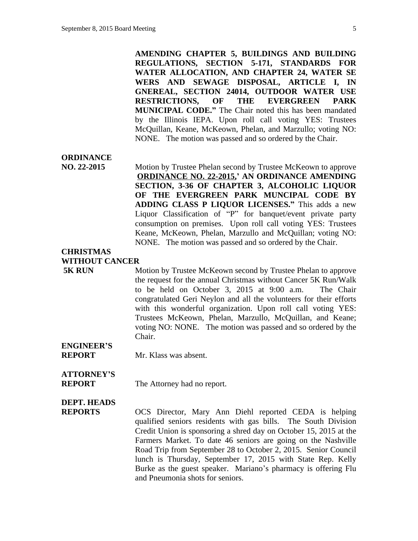**AMENDING CHAPTER 5, BUILDINGS AND BUILDING REGULATIONS, SECTION 5-171, STANDARDS FOR WATER ALLOCATION, AND CHAPTER 24, WATER SE WERS AND SEWAGE DISPOSAL, ARTICLE I, IN GNEREAL, SECTION 24014, OUTDOOR WATER USE RESTRICTIONS, OF THE EVERGREEN PARK MUNICIPAL CODE."** The Chair noted this has been mandated by the Illinois IEPA. Upon roll call voting YES: Trustees McQuillan, Keane, McKeown, Phelan, and Marzullo; voting NO: NONE. The motion was passed and so ordered by the Chair.

### **ORDINANCE**

**NO. 22-2015** Motion by Trustee Phelan second by Trustee McKeown to approve **ORDINANCE NO. 22-2015, ' AN ORDINANCE AMENDING SECTION, 3-36 OF CHAPTER 3, ALCOHOLIC LIQUOR OF THE EVERGREEN PARK MUNCIPAL CODE BY ADDING CLASS P LIQUOR LICENSES."** This adds a new Liquor Classification of "P" for banquet/event private party consumption on premises. Upon roll call voting YES: Trustees Keane, McKeown, Phelan, Marzullo and McQuillan; voting NO: NONE. The motion was passed and so ordered by the Chair.

### **CHRISTMAS WITHOUT CANCER**

**5K RUN** Motion by Trustee McKeown second by Trustee Phelan to approve the request for the annual Christmas without Cancer 5K Run/Walk to be held on October 3, 2015 at 9:00 a.m. The Chair congratulated Geri Neylon and all the volunteers for their efforts with this wonderful organization. Upon roll call voting YES: Trustees McKeown, Phelan, Marzullo, McQuillan, and Keane; voting NO: NONE. The motion was passed and so ordered by the Chair.

# **ENGINEER'S**

**REPORT** Mr. Klass was absent.

# **ATTORNEY'S**

**REPORT** The Attorney had no report.

### **DEPT. HEADS**

**REPORTS** OCS Director, Mary Ann Diehl reported CEDA is helping qualified seniors residents with gas bills. The South Division Credit Union is sponsoring a shred day on October 15, 2015 at the Farmers Market. To date 46 seniors are going on the Nashville Road Trip from September 28 to October 2, 2015. Senior Council lunch is Thursday, September 17, 2015 with State Rep. Kelly Burke as the guest speaker. Mariano's pharmacy is offering Flu and Pneumonia shots for seniors.